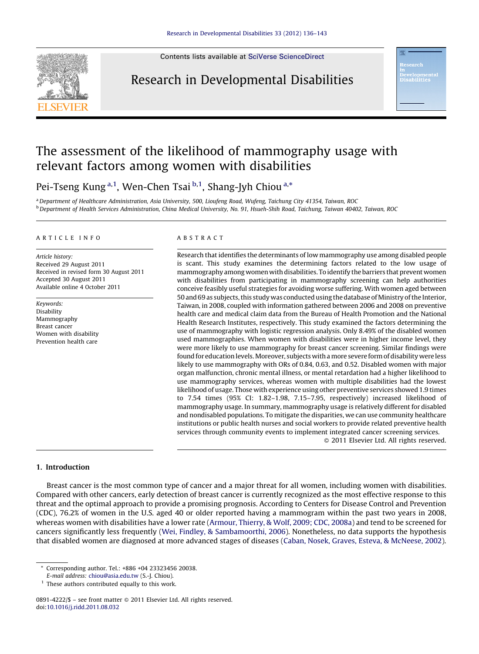

Contents lists available at SciVerse [ScienceDirect](http://www.sciencedirect.com/science/journal/08914222)

# Research in Developmental Disabilities

# The assessment of the likelihood of mammography usage with relevant factors among women with disabilities

Pei-Tseng Kung<sup>a,1</sup>, Wen-Chen Tsai <sup>b,1</sup>, Shang-Jyh Chiou <sup>a,\*</sup>

a Department of Healthcare Administration, Asia University, 500, Lioufeng Road, Wufeng, Taichung City 41354, Taiwan, ROC <sup>b</sup> Department of Health Services Administration, China Medical University, No. 91, Hsueh-Shih Road, Taichung, Taiwan 40402, Taiwan, ROC

#### A R T I C L E I N F O

Article history: Received 29 August 2011 Received in revised form 30 August 2011 Accepted 30 August 2011 Available online 4 October 2011

Keywords: Disability Mammography Breast cancer Women with disability Prevention health care

#### A B S T R A C T

Research that identifies the determinants of low mammography use among disabled people is scant. This study examines the determining factors related to the low usage of mammography among women with disabilities. To identify the barriers that prevent women with disabilities from participating in mammography screening can help authorities conceive feasibly useful strategies for avoiding worse suffering. With women aged between 50 and 69 as subjects,this study was conductedusing thedatabase ofMinistry ofthe Interior, Taiwan, in 2008, coupled with information gathered between 2006 and 2008 on preventive health care and medical claim data from the Bureau of Health Promotion and the National Health Research Institutes, respectively. This study examined the factors determining the use of mammography with logistic regression analysis. Only 8.49% of the disabled women used mammographies. When women with disabilities were in higher income level, they were more likely to use mammography for breast cancer screening. Similar findings were found for education levels. Moreover, subjects with a more severe form of disability were less likely to use mammography with ORs of 0.84, 0.63, and 0.52. Disabled women with major organ malfunction, chronic mental illness, or mental retardation had a higher likelihood to use mammography services, whereas women with multiple disabilities had the lowest likelihood of usage. Those with experience using other preventive services showed 1.9 times to 7.54 times (95% CI: 1.82–1.98, 7.15–7.95, respectively) increased likelihood of mammography usage. In summary, mammography usage is relatively different for disabled and nondisabled populations. To mitigate the disparities, we can use community healthcare institutions or public health nurses and social workers to provide related preventive health services through community events to implement integrated cancer screening services. - 2011 Elsevier Ltd. All rights reserved.

### 1. Introduction

Breast cancer is the most common type of cancer and a major threat for all women, including women with disabilities. Compared with other cancers, early detection of breast cancer is currently recognized as the most effective response to this threat and the optimal approach to provide a promising prognosis. According to Centers for Disease Control and Prevention (CDC), 76.2% of women in the U.S. aged 40 or older reported having a mammogram within the past two years in 2008, whereas women with disabilities have a lower rate [\(Armour,](#page-6-0) Thierry, & Wolf, 2009; CDC, 2008a) and tend to be screened for cancers significantly less frequently (Wei, Findley, & [Sambamoorthi,](#page-7-0) 2006). Nonetheless, no data supports the hypothesis that disabled women are diagnosed at more advanced stages of diseases (Caban, Nosek, Graves, Esteva, & [McNeese,](#page-6-0) 2002).

<sup>\*</sup> Corresponding author. Tel.: +886 +04 23323456 20038.

E-mail address: [chiou@asia.edu.tw](mailto:chiou@asia.edu.tw) (S.-J. Chiou).

 $1$  These authors contributed equally to this work.

<sup>0891-4222/\$ –</sup> see front matter © 2011 Elsevier Ltd. All rights reserved. doi[:10.1016/j.ridd.2011.08.032](http://dx.doi.org/10.1016/j.ridd.2011.08.032)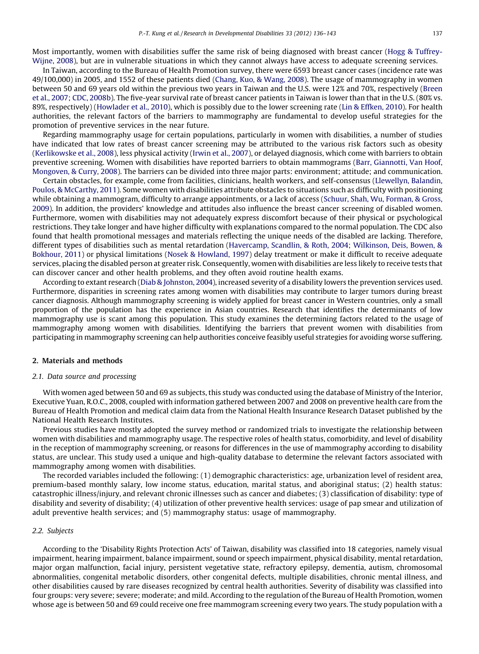Most importantly, women with disabilities suffer the same risk of being diagnosed with breast cancer (Hogg & [Tuffrey-](#page-6-0)[Wijne,](#page-6-0) 2008), but are in vulnerable situations in which they cannot always have access to adequate screening services.

In Taiwan, according to the Bureau of Health Promotion survey, there were 6593 breast cancer cases (incidence rate was 49/100,000) in 2005, and 1552 of these patients died ([Chang,](#page-6-0) Kuo, & Wang, 2008). The usage of mammography in women between 50 and 69 years old within the previous two years in Taiwan and the U.S. were 12% and 70%, respectively [\(Breen](#page-6-0) et al., 2007; CDC, [2008b\)](#page-6-0). The five-year survival rate of breast cancer patients in Taiwan is lower than that in the U.S. (80% vs. 89%, respectively) ([Howlader](#page-6-0) et al., 2010), which is possibly due to the lower screening rate (Lin & [Effken,](#page-6-0) 2010). For health authorities, the relevant factors of the barriers to mammography are fundamental to develop useful strategies for the promotion of preventive services in the near future.

Regarding mammography usage for certain populations, particularly in women with disabilities, a number of studies have indicated that low rates of breast cancer screening may be attributed to the various risk factors such as obesity ([Kerlikowske](#page-6-0) et al., 2008), less physical activity [\(Irwin](#page-6-0) et al., 2007), or delayed diagnosis, which come with barriers to obtain preventive screening. Women with disabilities have reported barriers to obtain mammograms (Barr, [Giannotti,](#page-6-0) Van Hoof, [Mongoven,](#page-6-0) & Curry, 2008). The barriers can be divided into three major parts: environment; attitude; and communication.

Certain obstacles, for example, come from facilities, clinicians, health workers, and self-consensus ([Llewellyn,](#page-6-0) Balandin, Poulos, & [McCarthy,](#page-6-0) 2011). Some women with disabilities attribute obstacles to situations such as difficulty with positioning while obtaining a mammogram, difficulty to arrange appointments, or a lack of access (Schuur, Shah, Wu, [Forman,](#page-7-0) & Gross, [2009](#page-7-0)). In addition, the providers' knowledge and attitudes also influence the breast cancer screening of disabled women. Furthermore, women with disabilities may not adequately express discomfort because of their physical or psychological restrictions. They take longer and have higher difficulty with explanations compared to the normal population. The CDC also found that health promotional messages and materials reflecting the unique needs of the disabled are lacking. Therefore, different types of disabilities such as mental retardation [\(Havercamp,](#page-6-0) Scandlin, & Roth, 2004; Wilkinson, Deis, Bowen, & [Bokhour,](#page-6-0) 2011) or physical limitations (Nosek & [Howland,](#page-6-0) 1997) delay treatment or make it difficult to receive adequate services, placing the disabled person at greater risk. Consequently, women with disabilities are less likely to receive tests that can discover cancer and other health problems, and they often avoid routine health exams.

According to extant research (Diab & [Johnston,](#page-6-0) 2004), increased severity of a disability lowers the prevention services used. Furthermore, disparities in screening rates among women with disabilities may contribute to larger tumors during breast cancer diagnosis. Although mammography screening is widely applied for breast cancer in Western countries, only a small proportion of the population has the experience in Asian countries. Research that identifies the determinants of low mammography use is scant among this population. This study examines the determining factors related to the usage of mammography among women with disabilities. Identifying the barriers that prevent women with disabilities from participating in mammography screening can help authorities conceive feasibly useful strategies for avoiding worse suffering.

### 2. Materials and methods

#### 2.1. Data source and processing

With women aged between 50 and 69 as subjects, this study was conducted using the database of Ministry of the Interior, Executive Yuan, R.O.C., 2008, coupled with information gathered between 2007 and 2008 on preventive health care from the Bureau of Health Promotion and medical claim data from the National Health Insurance Research Dataset published by the National Health Research Institutes.

Previous studies have mostly adopted the survey method or randomized trials to investigate the relationship between women with disabilities and mammography usage. The respective roles of health status, comorbidity, and level of disability in the reception of mammography screening, or reasons for differences in the use of mammography according to disability status, are unclear. This study used a unique and high-quality database to determine the relevant factors associated with mammography among women with disabilities.

The recorded variables included the following: (1) demographic characteristics: age, urbanization level of resident area, premium-based monthly salary, low income status, education, marital status, and aboriginal status; (2) health status: catastrophic illness/injury, and relevant chronic illnesses such as cancer and diabetes; (3) classification of disability: type of disability and severity of disability; (4) utilization of other preventive health services: usage of pap smear and utilization of adult preventive health services; and (5) mammography status: usage of mammography.

#### 2.2. Subjects

According to the 'Disability Rights Protection Acts' of Taiwan, disability was classified into 18 categories, namely visual impairment, hearing impairment, balance impairment, sound or speech impairment, physical disability, mental retardation, major organ malfunction, facial injury, persistent vegetative state, refractory epilepsy, dementia, autism, chromosomal abnormalities, congenital metabolic disorders, other congenital defects, multiple disabilities, chronic mental illness, and other disabilities caused by rare diseases recognized by central health authorities. Severity of disability was classified into four groups: very severe; severe; moderate; and mild. According to the regulation ofthe Bureau of Health Promotion, women whose age is between 50 and 69 could receive one free mammogram screening every two years. The study population with a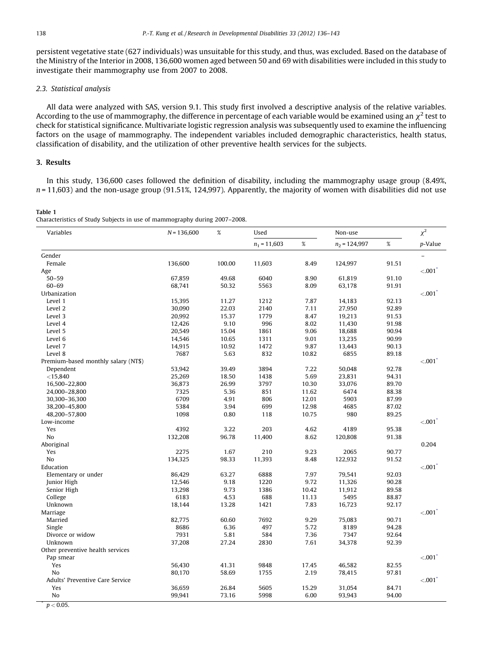<span id="page-2-0"></span>persistent vegetative state (627 individuals) was unsuitable for this study, and thus, was excluded. Based on the database of the Ministry of the Interior in 2008, 136,600 women aged between 50 and 69 with disabilities were included in this study to investigate their mammography use from 2007 to 2008.

#### 2.3. Statistical analysis

All data were analyzed with SAS, version 9.1. This study first involved a descriptive analysis of the relative variables. According to the use of mammography, the difference in percentage of each variable would be examined using an  $\chi^2$  test to check for statistical significance. Multivariate logistic regression analysis was subsequently used to examine the influencing factors on the usage of mammography. The independent variables included demographic characteristics, health status, classification of disability, and the utilization of other preventive health services for the subjects.

# 3. Results

In this study, 136,600 cases followed the definition of disability, including the mammography usage group (8.49%,  $n = 11,603$ ) and the non-usage group (91.51%, 124,997). Apparently, the majority of women with disabilities did not use

Table 1 Characteristics of Study Subjects in use of mammography during 2007–2008.

| Variables                           | $N = 136,600$ | %      | Used           |       | Non-use         |       | $\chi^2$              |  |
|-------------------------------------|---------------|--------|----------------|-------|-----------------|-------|-----------------------|--|
|                                     |               |        | $n_1 = 11,603$ | %     | $n_2$ = 124,997 | $\%$  | p-Value               |  |
| Gender                              |               |        |                |       |                 |       |                       |  |
| Female                              | 136,600       | 100.00 | 11,603         | 8.49  | 124,997         | 91.51 |                       |  |
| Age                                 |               |        |                |       |                 |       | < 001                 |  |
| $50 - 59$                           | 67,859        | 49.68  | 6040           | 8.90  | 61,819          | 91.10 |                       |  |
| $60 - 69$                           | 68,741        | 50.32  | 5563           | 8.09  | 63,178          | 91.91 |                       |  |
| Urbanization                        |               |        |                |       |                 |       | < 001                 |  |
| Level 1                             | 15.395        | 11.27  | 1212           | 7.87  | 14,183          | 92.13 |                       |  |
| Level 2                             | 30,090        | 22.03  | 2140           | 7.11  | 27,950          | 92.89 |                       |  |
| Level 3                             | 20,992        | 15.37  | 1779           | 8.47  | 19,213          | 91.53 |                       |  |
| Level 4                             | 12,426        | 9.10   | 996            | 8.02  | 11,430          | 91.98 |                       |  |
| Level 5                             | 20,549        | 15.04  | 1861           | 9.06  | 18,688          | 90.94 |                       |  |
| Level 6                             | 14,546        | 10.65  | 1311           | 9.01  | 13,235          | 90.99 |                       |  |
| Level 7                             | 14,915        | 10.92  | 1472           | 9.87  | 13,443          | 90.13 |                       |  |
| Level 8                             | 7687          | 5.63   | 832            | 10.82 | 6855            | 89.18 |                       |  |
| Premium-based monthly salary (NT\$) |               |        |                |       |                 |       | $< .001$ <sup>*</sup> |  |
| Dependent                           | 53,942        | 39.49  | 3894           | 7.22  | 50,048          | 92.78 |                       |  |
| $<$ 15,840                          | 25,269        | 18.50  | 1438           | 5.69  | 23,831          | 94.31 |                       |  |
| 16,500-22,800                       | 36,873        | 26.99  | 3797           | 10.30 | 33,076          | 89.70 |                       |  |
| 24,000-28,800                       | 7325          | 5.36   | 851            | 11.62 | 6474            | 88.38 |                       |  |
| 30,300-36,300                       | 6709          | 4.91   | 806            | 12.01 | 5903            | 87.99 |                       |  |
| 38,200-45,800                       | 5384          | 3.94   | 699            | 12.98 | 4685            | 87.02 |                       |  |
| 48,200-57,800                       | 1098          | 0.80   | 118            | 10.75 | 980             | 89.25 |                       |  |
| Low-income                          |               |        |                |       |                 |       | $< .001$ <sup>*</sup> |  |
| Yes                                 | 4392          | 3.22   | 203            | 4.62  | 4189            | 95.38 |                       |  |
| No                                  | 132,208       | 96.78  | 11,400         | 8.62  | 120,808         | 91.38 |                       |  |
| Aboriginal                          |               |        |                |       |                 |       | 0.204                 |  |
| Yes                                 | 2275          | 1.67   | 210            | 9.23  | 2065            | 90.77 |                       |  |
| No                                  | 134,325       | 98.33  | 11,393         | 8.48  | 122,932         | 91.52 |                       |  |
| Education                           |               |        |                |       |                 |       | < 001                 |  |
| Elementary or under                 | 86,429        | 63.27  | 6888           | 7.97  | 79,541          | 92.03 |                       |  |
| Junior High                         | 12,546        | 9.18   | 1220           | 9.72  | 11,326          | 90.28 |                       |  |
| Senior High                         | 13,298        | 9.73   | 1386           | 10.42 | 11,912          | 89.58 |                       |  |
| College                             | 6183          | 4.53   | 688            | 11.13 | 5495            | 88.87 |                       |  |
| Unknown                             | 18,144        | 13.28  | 1421           | 7.83  | 16,723          | 92.17 |                       |  |
| Marriage                            |               |        |                |       |                 |       | < 001                 |  |
| Married                             | 82,775        | 60.60  | 7692           | 9.29  | 75,083          | 90.71 |                       |  |
| Single                              | 8686          | 6.36   | 497            | 5.72  | 8189            | 94.28 |                       |  |
| Divorce or widow                    | 7931          | 5.81   | 584            | 7.36  | 7347            | 92.64 |                       |  |
| Unknown                             | 37,208        | 27.24  | 2830           | 7.61  | 34,378          | 92.39 |                       |  |
| Other preventive health services    |               |        |                |       |                 |       |                       |  |
| Pap smear                           |               |        |                |       |                 |       | < 001                 |  |
| Yes                                 | 56,430        | 41.31  | 9848           | 17.45 | 46,582          | 82.55 |                       |  |
| No                                  | 80,170        | 58.69  | 1755           | 2.19  | 78,415          | 97.81 |                       |  |
| Adults' Preventive Care Service     |               |        |                |       |                 |       | < 0.01                |  |
| Yes                                 | 36,659        | 26.84  | 5605           | 15.29 | 31,054          | 84.71 |                       |  |
| No                                  | 99,941        | 73.16  | 5998           | 6.00  | 93,943          | 94.00 |                       |  |
|                                     |               |        |                |       |                 |       |                       |  |

 $p < 0.05$ .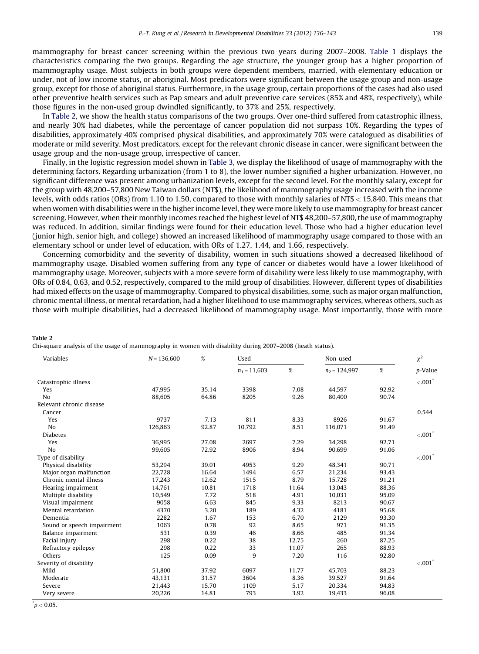mammography for breast cancer screening within the previous two years during 2007–2008. [Table](#page-2-0) 1 displays the characteristics comparing the two groups. Regarding the age structure, the younger group has a higher proportion of mammography usage. Most subjects in both groups were dependent members, married, with elementary education or under, not of low income status, or aboriginal. Most predicators were significant between the usage group and non-usage group, except for those of aboriginal status. Furthermore, in the usage group, certain proportions of the cases had also used other preventive health services such as Pap smears and adult preventive care services (85% and 48%, respectively), while those figures in the non-used group dwindled significantly, to 37% and 25%, respectively.

In Table 2, we show the health status comparisons of the two groups. Over one-third suffered from catastrophic illness, and nearly 30% had diabetes, while the percentage of cancer population did not surpass 10%. Regarding the types of disabilities, approximately 40% comprised physical disabilities, and approximately 70% were catalogued as disabilities of moderate or mild severity. Most predicators, except for the relevant chronic disease in cancer, were significant between the usage group and the non-usage group, irrespective of cancer.

Finally, in the logistic regression model shown in [Table](#page-4-0) 3, we display the likelihood of usage of mammography with the determining factors. Regarding urbanization (from 1 to 8), the lower number signified a higher urbanization. However, no significant difference was present among urbanization levels, except for the second level. For the monthly salary, except for the group with 48,200–57,800 New Taiwan dollars (NT\$), the likelihood of mammography usage increased with the income levels, with odds ratios (ORs) from 1.10 to 1.50, compared to those with monthly salaries of NT\$ < 15,840. This means that when women with disabilities were in the higher income level, they were more likely to use mammography for breast cancer screening. However, when their monthly incomes reached the highest level of NT\$ 48,200–57,800, the use of mammography was reduced. In addition, similar findings were found for their education level. Those who had a higher education level (junior high, senior high, and college) showed an increased likelihood of mammography usage compared to those with an elementary school or under level of education, with ORs of 1.27, 1.44, and 1.66, respectively.

Concerning comorbidity and the severity of disability, women in such situations showed a decreased likelihood of mammography usage. Disabled women suffering from any type of cancer or diabetes would have a lower likelihood of mammography usage. Moreover, subjects with a more severe form of disability were less likely to use mammography, with ORs of 0.84, 0.63, and 0.52, respectively, compared to the mild group of disabilities. However, different types of disabilities had mixed effects on the usage of mammography. Compared to physical disabilities, some, such as major organ malfunction, chronic mental illness, or mental retardation, had a higher likelihood to use mammography services, whereas others, such as those with multiple disabilities, had a decreased likelihood of mammography usage. Most importantly, those with more

#### Table 2

Chi-square analysis of the usage of mammography in women with disability during 2007–2008 (heath status).

| Variables                  | $N = 136,600$ | $\%$  | Used           |       | Non-used        |       | $\chi^2$              |
|----------------------------|---------------|-------|----------------|-------|-----------------|-------|-----------------------|
|                            |               |       | $n_1 = 11,603$ | $\%$  | $n_2$ = 124,997 | $\%$  | p-Value               |
| Catastrophic illness       |               |       |                |       |                 |       | < 001                 |
| Yes                        | 47,995        | 35.14 | 3398           | 7.08  | 44,597          | 92.92 |                       |
| No                         | 88,605        | 64.86 | 8205           | 9.26  | 80,400          | 90.74 |                       |
| Relevant chronic disease   |               |       |                |       |                 |       |                       |
| Cancer                     |               |       |                |       |                 |       | 0.544                 |
| Yes                        | 9737          | 7.13  | 811            | 8.33  | 8926            | 91.67 |                       |
| N <sub>0</sub>             | 126,863       | 92.87 | 10,792         | 8.51  | 116,071         | 91.49 |                       |
| <b>Diabetes</b>            |               |       |                |       |                 |       | $< .001$ <sup>*</sup> |
| Yes                        | 36,995        | 27.08 | 2697           | 7.29  | 34.298          | 92.71 |                       |
| N <sub>o</sub>             | 99,605        | 72.92 | 8906           | 8.94  | 90,699          | 91.06 |                       |
| Type of disability         |               |       |                |       |                 |       | < 0.001               |
| Physical disability        | 53,294        | 39.01 | 4953           | 9.29  | 48,341          | 90.71 |                       |
| Major organ malfunction    | 22,728        | 16.64 | 1494           | 6.57  | 21,234          | 93.43 |                       |
| Chronic mental illness     | 17,243        | 12.62 | 1515           | 8.79  | 15,728          | 91.21 |                       |
| Hearing impairment         | 14,761        | 10.81 | 1718           | 11.64 | 13,043          | 88.36 |                       |
| Multiple disability        | 10,549        | 7.72  | 518            | 4.91  | 10,031          | 95.09 |                       |
| Visual impairment          | 9058          | 6.63  | 845            | 9.33  | 8213            | 90.67 |                       |
| Mental retardation         | 4370          | 3.20  | 189            | 4.32  | 4181            | 95.68 |                       |
| Dementia                   | 2282          | 1.67  | 153            | 6.70  | 2129            | 93.30 |                       |
| Sound or speech impairment | 1063          | 0.78  | 92             | 8.65  | 971             | 91.35 |                       |
| Balance impairment         | 531           | 0.39  | 46             | 8.66  | 485             | 91.34 |                       |
| Facial injury              | 298           | 0.22  | 38             | 12.75 | 260             | 87.25 |                       |
| Refractory epilepsy        | 298           | 0.22  | 33             | 11.07 | 265             | 88.93 |                       |
| Others                     | 125           | 0.09  | 9              | 7.20  | 116             | 92.80 |                       |
| Severity of disability     |               |       |                |       |                 |       | < 0.001               |
| Mild                       | 51,800        | 37.92 | 6097           | 11.77 | 45,703          | 88.23 |                       |
| Moderate                   | 43,131        | 31.57 | 3604           | 8.36  | 39,527          | 91.64 |                       |
| Severe                     | 21,443        | 15.70 | 1109           | 5.17  | 20.334          | 94.83 |                       |
| Very severe                | 20,226        | 14.81 | 793            | 3.92  | 19,433          | 96.08 |                       |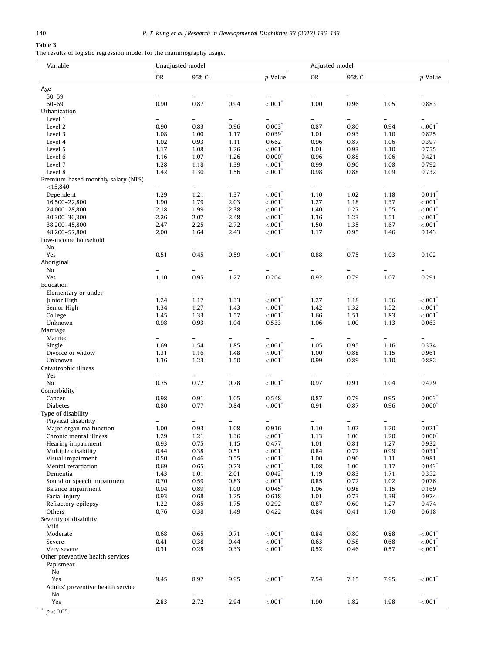# <span id="page-4-0"></span>Table 3

The results of logistic regression model for the mammography usage.

| Variable                                          | Unadjusted model         |                          |                          |                               | Adjusted model           |                          |                          |                          |
|---------------------------------------------------|--------------------------|--------------------------|--------------------------|-------------------------------|--------------------------|--------------------------|--------------------------|--------------------------|
|                                                   | <b>OR</b>                | 95% CI                   |                          | p-Value                       | <b>OR</b>                | 95% CI                   |                          | p-Value                  |
| Age                                               |                          |                          |                          |                               |                          |                          |                          |                          |
| $50 - 59$                                         | $\overline{\phantom{0}}$ | $\equiv$                 |                          |                               | $\overline{\phantom{0}}$ | $\equiv$                 |                          |                          |
| $60 - 69$                                         | 0.90                     | 0.87                     | 0.94                     | $< 001^\degree$               | 1.00                     | 0.96                     | 1.05                     | 0.883                    |
| Urbanization                                      |                          |                          |                          |                               |                          |                          |                          |                          |
| Level 1                                           | $\equiv$                 | $\frac{1}{2}$            | $\equiv$                 | $\overline{\phantom{0}}$      | $\overline{\phantom{0}}$ | $\overline{\phantom{0}}$ | $\equiv$                 | $\overline{a}$           |
| Level 2                                           | 0.90                     | 0.83                     | 0.96                     | $0.003$ <sup>*</sup>          | 0.87                     | 0.80                     | 0.94                     | < 001                    |
| Level 3                                           | 1.08                     | 1.00                     | 1.17                     | $0.039$ <sup>*</sup>          | 1.01                     | 0.93                     | 1.10                     | 0.825                    |
| Level 4                                           | 1.02                     | 0.93                     | 1.11                     | 0.662                         | 0.96                     | 0.87                     | 1.06                     | 0.397                    |
| Level 5                                           | 1.17                     | 1.08                     | 1.26                     | < 0.001                       | 1.01                     | 0.93                     | 1.10                     | 0.755                    |
| Level 6                                           | 1.16                     | 1.07                     | 1.26                     | $0.000^{\degree}$             | 0.96                     | 0.88                     | 1.06                     | 0.421                    |
| Level 7                                           | 1.28                     | 1.18                     | 1.39                     | < 001                         | 0.99                     | 0.90                     | 1.08                     | 0.792                    |
| Level 8                                           | 1.42                     | 1.30                     | 1.56                     | $< 001^\degree$               | 0.98                     | 0.88                     | 1.09                     | 0.732                    |
| Premium-based monthly salary (NT\$)<br>$<$ 15,840 | $\overline{\phantom{0}}$ | $\qquad \qquad -$        | $\overline{\phantom{0}}$ |                               | -                        |                          | $\overline{\phantom{a}}$ |                          |
| Dependent                                         | 1.29                     | 1.21                     | 1.37                     | $< 001^\degree$               | 1.10                     | 1.02                     | 1.18                     | 0.011                    |
| 16,500-22,800                                     | 1.90                     | 1.79                     | 2.03                     | $< 001^\degree$               | 1.27                     | 1.18                     | 1.37                     | < 0.001                  |
| 24,000-28,800                                     | 2.18                     | 1.99                     | 2.38                     | < 0.01                        | 1.40                     | 1.27                     | 1.55                     | < .001                   |
| 30,300-36,300                                     | 2.26                     | 2.07                     | 2.48                     | $< 001^\degree$               | 1.36                     | 1.23                     | 1.51                     | < 001                    |
| 38,200-45,800                                     | 2.47                     | 2.25                     | 2.72                     | <.001                         | 1.50                     | 1.35                     | 1.67                     | < 001                    |
| 48,200-57,800                                     | 2.00                     | 1.64                     | 2.43                     | $< 001^\degree$               | 1.17                     | 0.95                     | 1.46                     | 0.143                    |
| Low-income household                              |                          |                          |                          |                               |                          |                          |                          |                          |
| No                                                |                          |                          |                          |                               |                          |                          |                          |                          |
| Yes                                               | 0.51                     | 0.45                     | 0.59                     | < .001                        | 0.88                     | 0.75                     | 1.03                     | 0.102                    |
| Aboriginal                                        |                          |                          |                          |                               |                          |                          |                          |                          |
| No                                                | $\equiv$                 |                          | $\equiv$                 |                               |                          |                          | $\equiv$                 |                          |
| Yes                                               | 1.10                     | 0.95                     | 1.27                     | 0.204                         | 0.92                     | 0.79                     | 1.07                     | 0.291                    |
| Education                                         |                          |                          |                          |                               |                          |                          |                          |                          |
| Elementary or under                               | $\overline{\phantom{0}}$ |                          | $\overline{\phantom{0}}$ |                               | L,                       | $\overline{\phantom{0}}$ |                          |                          |
| Junior High                                       | 1.24                     | 1.17                     | 1.33                     | $< 001^\degree$               | 1.27                     | 1.18                     | 1.36                     | < 0.001                  |
| Senior High                                       | 1.34                     | 1.27                     | 1.43                     | $< 001^\degree$               | 1.42                     | 1.32                     | 1.52                     | < 0.001                  |
| College                                           | 1.45                     | 1.33                     | 1.57                     | < .001                        | 1.66                     | 1.51                     | 1.83                     | < 0.001                  |
| Unknown                                           | 0.98                     | 0.93                     | 1.04                     | 0.533                         | 1.06                     | 1.00                     | 1.13                     | 0.063                    |
| Marriage                                          |                          |                          |                          |                               |                          |                          |                          |                          |
| Married                                           | $\overline{\phantom{0}}$ | $\equiv$                 | $\overline{\phantom{0}}$ | $\overline{\phantom{0}}$      | $\overline{\phantom{0}}$ | $\overline{\phantom{0}}$ | $\equiv$                 | $\overline{\phantom{0}}$ |
| Single                                            | 1.69                     | 1.54                     | 1.85                     | $< 001^\degree$               | 1.05                     | 0.95                     | 1.16                     | 0.374                    |
| Divorce or widow                                  | 1.31                     | 1.16                     | 1.48                     | < 0.01                        | 1.00                     | 0.88                     | 1.15                     | 0.961                    |
| Unknown                                           | 1.36                     | 1.23                     | 1.50                     | $< 001^\degree$               | 0.99                     | 0.89                     | 1.10                     | 0.882                    |
| Catastrophic illness                              |                          |                          |                          |                               |                          |                          |                          |                          |
| Yes                                               | $\overline{\phantom{0}}$ | $\overline{\phantom{0}}$ | $\qquad \qquad -$        |                               |                          | $\overline{\phantom{0}}$ | $\qquad \qquad -$        |                          |
| No                                                | 0.75                     | 0.72                     | 0.78                     | $< 001^\degree$               | 0.97                     | 0.91                     | 1.04                     | 0.429                    |
| Comorbidity                                       |                          |                          |                          |                               |                          |                          |                          |                          |
| Cancer                                            | 0.98                     | 0.91                     | 1.05                     | 0.548                         | 0.87                     | 0.79                     | 0.95                     | $0.003$ <sup>*</sup>     |
| <b>Diabetes</b>                                   | 0.80                     | 0.77                     | 0.84                     | < 0.001                       | 0.91                     | 0.87                     | 0.96                     | $0.000^{\degree}$        |
| Type of disability                                |                          |                          |                          |                               |                          |                          |                          |                          |
| Physical disability                               | ÷.                       | $\equiv$                 | $\overline{\phantom{0}}$ | $\equiv$                      | $\overline{\phantom{0}}$ | $\overline{a}$           | $\equiv$                 |                          |
| Major organ malfunction                           | 1.00                     | 0.93                     | 1.08                     | 0.916                         | 1.10                     | 1.02                     | 1.20                     | $0.021$ <sup>*</sup>     |
| Chronic mental illness                            | 1.29                     | 1.21                     | 1.36                     | <.001                         | 1.13                     | 1.06                     | 1.20                     | $0.000^{\degree}$        |
| Hearing impairment                                | 0.93                     | 0.75                     | 1.15                     | 0.477                         | 1.01                     | 0.81                     | 1.27                     | 0.932                    |
| Multiple disability                               | 0.44                     | 0.38                     | 0.51                     | < 0.001                       | 0.84                     | 0.72                     | 0.99                     | $0.031$ <sup>*</sup>     |
| Visual impairment                                 | 0.50                     | 0.46                     | 0.55                     | < 0.001                       | 1.00                     | 0.90                     | 1.11                     | 0.981                    |
| Mental retardation                                | 0.69                     | 0.65                     | 0.73                     | < 001                         | 1.08                     | 1.00                     | 1.17                     | 0.043                    |
| Dementia<br>Sound or speech impairment            | 1.43                     | 1.01                     | 2.01                     | $0.042$ <sup>*</sup>          | 1.19                     | 0.83                     | 1.71                     | 0.352                    |
| Balance impairment                                | 0.70<br>0.94             | 0.59                     | 0.83                     | < 001<br>$0.045$ <sup>*</sup> | 0.85<br>1.06             | 0.72                     | 1.02                     | 0.076                    |
| Facial injury                                     |                          | 0.89                     | 1.00                     |                               |                          | 0.98                     | 1.15                     | 0.169<br>0.974           |
| Refractory epilepsy                               | 0.93<br>1.22             | 0.68<br>0.85             | 1.25<br>1.75             | 0.618<br>0.292                | 1.01<br>0.87             | 0.73<br>0.60             | 1.39<br>1.27             | 0.474                    |
| Others                                            |                          |                          |                          |                               |                          |                          |                          |                          |
| Severity of disability                            | 0.76                     | 0.38                     | 1.49                     | 0.422                         | 0.84                     | 0.41                     | 1.70                     | 0.618                    |
| Mild                                              | $\overline{\phantom{0}}$ | $\equiv$                 | $\overline{\phantom{0}}$ | $\overline{\phantom{0}}$      | $\overline{\phantom{0}}$ | $\overline{\phantom{0}}$ | $\overline{\phantom{0}}$ | $\overline{\phantom{0}}$ |
| Moderate                                          | 0.68                     | 0.65                     | 0.71                     | < 001                         | 0.84                     | 0.80                     | 0.88                     | < 001                    |
| Severe                                            | 0.41                     | 0.38                     | 0.44                     | < .001                        | 0.63                     | 0.58                     | 0.68                     | $< .001$ <sup>*</sup>    |
| Very severe                                       | 0.31                     | 0.28                     | 0.33                     | < 001                         | 0.52                     | 0.46                     | 0.57                     | < 001                    |
| Other preventive health services                  |                          |                          |                          |                               |                          |                          |                          |                          |
| Pap smear                                         |                          |                          |                          |                               |                          |                          |                          |                          |
| No                                                | $\overline{\phantom{0}}$ | $\equiv$                 | $\overline{\phantom{0}}$ | $\overline{\phantom{0}}$      | $\overline{\phantom{0}}$ | $\overline{\phantom{0}}$ | $\equiv$                 | $\overline{\phantom{0}}$ |
| Yes                                               | 9.45                     | 8.97                     | 9.95                     | $< .001$ <sup>*</sup>         | 7.54                     | 7.15                     | 7.95                     | < 0.01                   |
| Adults' preventive health service                 |                          |                          |                          |                               |                          |                          |                          |                          |
| No                                                | $\overline{\phantom{0}}$ | $\frac{1}{2}$            | $\overline{\phantom{0}}$ | $\overline{\phantom{0}}$      | $\equiv$                 | $\overline{\phantom{0}}$ | $\overline{\phantom{0}}$ |                          |
| Yes                                               | 2.83                     | 2.72                     | 2.94                     | < 001                         | 1.90                     | 1.82                     | 1.98                     | < 001                    |
|                                                   |                          |                          |                          |                               |                          |                          |                          |                          |
| $p < 0.05$ .                                      |                          |                          |                          |                               |                          |                          |                          |                          |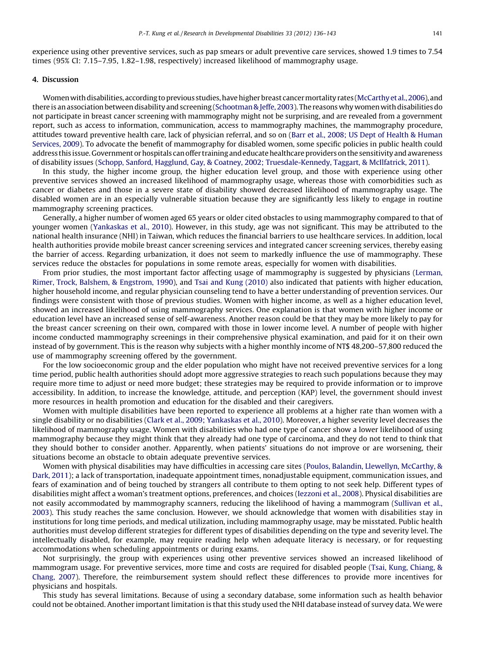experience using other preventive services, such as pap smears or adult preventive care services, showed 1.9 times to 7.54 times (95% CI: 7.15–7.95, 1.82–1.98, respectively) increased likelihood of mammography usage.

## 4. Discussion

Women with disabilities, according to previous studies, have higher breast cancer mortality rates (McCarthy et al., 2006), and there is an association between disability and screening (Schootman & Jeffe, 2003). The reasons why women with disabilities do not participate in breast cancer screening with mammography might not be surprising, and are revealed from a government report, such as access to information, communication, access to mammography machines, the mammography procedure, attitudes toward preventive health care, lack of physician referral, and so on (Barr et al., 2008; US Dept of Health & [Human](#page-6-0) [Services,](#page-6-0) 2009). To advocate the benefit of mammography for disabled women, some specific policies in public health could address this issue. Government or hospitals can offer training and educate healthcare providers on the sensitivity and awareness of disability issues (Schopp, Sanford, Hagglund, Gay, & Coatney, 2002; [Truesdale-Kennedy,](#page-6-0) Taggart, & McIlfatrick, 2011).

In this study, the higher income group, the higher education level group, and those with experience using other preventive services showed an increased likelihood of mammography usage, whereas those with comorbidities such as cancer or diabetes and those in a severe state of disability showed decreased likelihood of mammography usage. The disabled women are in an especially vulnerable situation because they are significantly less likely to engage in routine mammography screening practices.

Generally, a higher number of women aged 65 years or older cited obstacles to using mammography compared to that of younger women [\(Yankaskas](#page-7-0) et al., 2010). However, in this study, age was not significant. This may be attributed to the national health insurance (NHI) in Taiwan, which reduces the financial barriers to use healthcare services. In addition, local health authorities provide mobile breast cancer screening services and integrated cancer screening services, thereby easing the barrier of access. Regarding urbanization, it does not seem to markedly influence the use of mammography. These services reduce the obstacles for populations in some remote areas, especially for women with disabilities.

From prior studies, the most important factor affecting usage of mammography is suggested by physicians [\(Lerman,](#page-6-0) Rimer, Trock, Balshem, & [Engstrom,](#page-6-0) 1990), and Tsai and Kung [\(2010\)](#page-7-0) also indicated that patients with higher education, higher household income, and regular physician counseling tend to have a better understanding of prevention services. Our findings were consistent with those of previous studies. Women with higher income, as well as a higher education level, showed an increased likelihood of using mammography services. One explanation is that women with higher income or education level have an increased sense of self-awareness. Another reason could be that they may be more likely to pay for the breast cancer screening on their own, compared with those in lower income level. A number of people with higher income conducted mammography screenings in their comprehensive physical examination, and paid for it on their own instead of by government. This is the reason why subjects with a higher monthly income of NT\$ 48,200–57,800 reduced the use of mammography screening offered by the government.

For the low socioeconomic group and the elder population who might have not received preventive services for a long time period, public health authorities should adopt more aggressive strategies to reach such populations because they may require more time to adjust or need more budget; these strategies may be required to provide information or to improve accessibility. In addition, to increase the knowledge, attitude, and perception (KAP) level, the government should invest more resources in health promotion and education for the disabled and their caregivers.

Women with multiple disabilities have been reported to experience all problems at a higher rate than women with a single disability or no disabilities (Clark et al., 2009; [Yankaskas](#page-6-0) et al., 2010). Moreover, a higher severity level decreases the likelihood of mammography usage. Women with disabilities who had one type of cancer show a lower likelihood of using mammography because they might think that they already had one type of carcinoma, and they do not tend to think that they should bother to consider another. Apparently, when patients' situations do not improve or are worsening, their situations become an obstacle to obtain adequate preventive services.

Women with physical disabilities may have difficulties in accessing care sites (Poulos, Balandin, Llewellyn, [McCarthy,](#page-6-0) & [Dark,](#page-6-0) 2011); a lack of transportation, inadequate appointment times, nonadjustable equipment, communication issues, and fears of examination and of being touched by strangers all contribute to them opting to not seek help. Different types of disabilities might affect a woman's treatment options, preferences, and choices ([Iezzoni](#page-6-0) et al., 2008). Physical disabilities are not easily accommodated by mammography scanners, reducing the likelihood of having a mammogram [\(Sullivan](#page-7-0) et al., [2003](#page-7-0)). This study reaches the same conclusion. However, we should acknowledge that women with disabilities stay in institutions for long time periods, and medical utilization, including mammography usage, may be misstated. Public health authorities must develop different strategies for different types of disabilities depending on the type and severity level. The intellectually disabled, for example, may require reading help when adequate literacy is necessary, or for requesting accommodations when scheduling appointments or during exams.

Not surprisingly, the group with experiences using other preventive services showed an increased likelihood of mammogram usage. For preventive services, more time and costs are required for disabled people (Tsai, Kung, [Chiang,](#page-7-0) & [Chang,](#page-7-0) 2007). Therefore, the reimbursement system should reflect these differences to provide more incentives for physicians and hospitals.

This study has several limitations. Because of using a secondary database, some information such as health behavior could not be obtained. Another important limitation is that this study used the NHI database instead of survey data. We were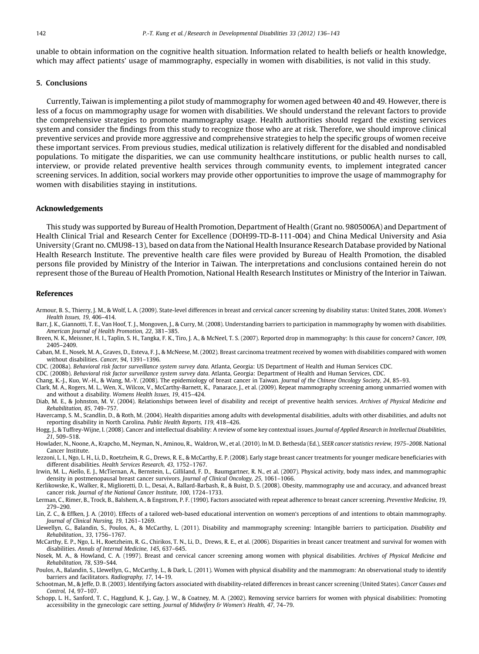<span id="page-6-0"></span>unable to obtain information on the cognitive health situation. Information related to health beliefs or health knowledge, which may affect patients' usage of mammography, especially in women with disabilities, is not valid in this study.

#### 5. Conclusions

Currently, Taiwan is implementing a pilot study of mammography for women aged between 40 and 49. However, there is less of a focus on mammography usage for women with disabilities. We should understand the relevant factors to provide the comprehensive strategies to promote mammography usage. Health authorities should regard the existing services system and consider the findings from this study to recognize those who are at risk. Therefore, we should improve clinical preventive services and provide more aggressive and comprehensive strategies to help the specific groups of women receive these important services. From previous studies, medical utilization is relatively different for the disabled and nondisabled populations. To mitigate the disparities, we can use community healthcare institutions, or public health nurses to call, interview, or provide related preventive health services through community events, to implement integrated cancer screening services. In addition, social workers may provide other opportunities to improve the usage of mammography for women with disabilities staying in institutions.

#### Acknowledgements

This study was supported by Bureau of Health Promotion, Department of Health (Grant no. 9805006A) and Department of Health Clinical Trial and Research Center for Excellence (DOH99-TD-B-111-004) and China Medical University and Asia University (Grant no. CMU98-13), based on data from the National Health Insurance Research Database provided by National Health Research Institute. The preventive health care files were provided by Bureau of Health Promotion, the disabled persons file provided by Ministry of the Interior in Taiwan. The interpretations and conclusions contained herein do not represent those of the Bureau of Health Promotion, National Health Research Institutes or Ministry of the Interior in Taiwan.

#### References

- Armour, B. S., Thierry, J. M., & Wolf, L. A. (2009). State-level differences in breast and cervical cancer screening by disability status: United States, 2008. Women's Health Issues, 19, 406–414.
- Barr, J. K., Giannotti, T. E., Van Hoof, T. J., Mongoven, J., & Curry, M. (2008). Understanding barriers to participation in mammography by women with disabilities. American Journal of Health Promotion, 22, 381–385.
- Breen, N. K., Meissner, H. I., Taplin, S. H., Tangka, F. K., Tiro, J. A., & McNeel, T. S. (2007). Reported drop in mammography: Is this cause for concern? Cancer, 109, 2405–2409.
- Caban, M. E., Nosek, M. A., Graves, D., Esteva, F. J., & McNeese, M. (2002). Breast carcinoma treatment received by women with disabilities compared with women without disabilities. Cancer, 94, 1391–1396.
- CDC. (2008a). Behavioral risk factor surveillance system survey data. Atlanta, Georgia: US Department of Health and Human Services CDC.

CDC. (2008b). Behavioral risk factor surveillance system survey data. Atlanta, Georgia: Department of Health and Human Services, CDC.

Chang, K.-J., Kuo, W.-H., & Wang, M.-Y. (2008). The epidemiology of breast cancer in Taiwan. Journal of the Chinese Oncology Society, 24, 85–93.

Clark, M. A., Rogers, M. L., Wen, X., Wilcox, V., McCarthy-Barnett, K., Panarace, J., et al. (2009). Repeat mammography screening among unmarried women with and without a disability. Womens Health Issues, 19, 415–424.

Diab, M. E., & Johnston, M. V. (2004). Relationships between level of disability and receipt of preventive health services. Archives of Physical Medicine and Rehabilitation, 85, 749–757.

Havercamp, S. M., Scandlin, D., & Roth, M. (2004). Health disparities among adults with developmental disabilities, adults with other disabilities, and adults not reporting disability in North Carolina. Public Health Reports, 119, 418–426.

Hogg, J., & Tuffrey-Wijne, I. (2008). Cancer and intellectual disability: A review of some key contextual issues. Journal of Applied Research in Intellectual Disabilities, 21, 509–518.

- Howlader, N., Noone, A., Krapcho, M., Neyman, N., Aminou, R., Waldron, W., et al. (2010). In M. D. Bethesda (Ed.), SEER cancer statistics review, 1975–2008. National Cancer Institute.
- Iezzoni, L. I., Ngo, L. H., Li, D., Roetzheim, R. G., Drews, R. E., & McCarthy, E. P. (2008). Early stage breast cancer treatments for younger medicare beneficiaries with different disabilities. Health Services Research, 43, 1752–1767.
- Irwin, M. L., Aiello, E. J., McTiernan, A., Bernstein, L., Gilliland, F. D., Baumgartner, R. N., et al. (2007). Physical activity, body mass index, and mammographic density in postmenopausal breast cancer survivors. Journal of Clinical Oncology, 25, 1061–1066.
- Kerlikowske, K., Walker, R., Miglioretti, D. L., Desai, A., Ballard-Barbash, R., & Buist, D. S. (2008). Obesity, mammography use and accuracy, and advanced breast cancer risk. Journal of the National Cancer Institute, 100, 1724–1733.

Lerman, C., Rimer, B., Trock, B., Balshem, A., & Engstrom, P. F. (1990). Factors associated with repeat adherence to breast cancer screening. Preventive Medicine, 19, 279–290.

Lin, Z. C., & Effken, J. A. (2010). Effects of a tailored web-based educational intervention on women's perceptions of and intentions to obtain mammography. Journal of Clinical Nursing, 19, 1261–1269.

Llewellyn, G., Balandin, S., Poulos, A., & McCarthy, L. (2011). Disability and mammography screening: Intangible barriers to participation. Disability and Rehabilitation., 33, 1756–1767.

McCarthy, E. P., Ngo, L. H., Roetzheim, R. G., Chirikos, T. N., Li, D., Drews, R. E., et al. (2006). Disparities in breast cancer treatment and survival for women with disabilities. Annals of Internal Medicine, 145, 637–645.

Nosek, M. A., & Howland, C. A. (1997). Breast and cervical cancer screening among women with physical disabilities. Archives of Physical Medicine and Rehabilitation, 78, S39–S44.

Poulos, A., Balandin, S., Llewellyn, G., McCarthy, L., & Dark, L. (2011). Women with physical disability and the mammogram: An observational study to identify barriers and facilitators. Radiography, 17, 14–19.

Schootman, M., & Jeffe, D. B. (2003). Identifying factors associated with disability-related differences in breast cancer screening (United States). Cancer Causes and Control, 14, 97–107.

Schopp, L. H., Sanford, T. C., Hagglund, K. J., Gay, J. W., & Coatney, M. A. (2002). Removing service barriers for women with physical disabilities: Promoting accessibility in the gynecologic care setting. Journal of Midwifery & Women's Health, 47, 74-79.